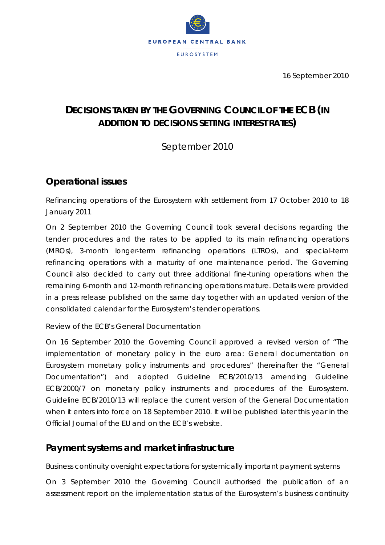

16 September 2010

# **DECISIONS TAKEN BY THE GOVERNING COUNCIL OF THE ECB (***IN ADDITION TO DECISIONS SETTING INTEREST RATES***)**

September 2010

# **Operational issues**

## *Refinancing operations of the Eurosystem with settlement from 17 October 2010 to 18 January 2011*

On 2 September 2010 the Governing Council took several decisions regarding the tender procedures and the rates to be applied to its main refinancing operations (MROs), 3-month longer-term refinancing operations (LTROs), and special-term refinancing operations with a maturity of one maintenance period. The Governing Council also decided to carry out three additional fine-tuning operations when the remaining 6-month and 12-month refinancing operations mature. Details were provided in a press release published on the same day together with an updated version of the consolidated calendar for the Eurosystem's tender operations.

### *Review of the ECB's General Documentation*

On 16 September 2010 the Governing Council approved a revised version of "The implementation of monetary policy in the euro area: General documentation on Eurosystem monetary policy instruments and procedures" (hereinafter the "General Documentation") and adopted Guideline ECB/2010/13 amending Guideline ECB/2000/7 on monetary policy instruments and procedures of the Eurosystem. Guideline ECB/2010/13 will replace the current version of the General Documentation when it enters into force on 18 September 2010. It will be published later this year in the *Official Journal of the EU* and on the ECB's website.

## **Payment systems and market infrastructure**

### *Business continuity oversight expectations for systemically important payment systems*

On 3 September 2010 the Governing Council authorised the publication of an assessment report on the implementation status of the Eurosystem's business continuity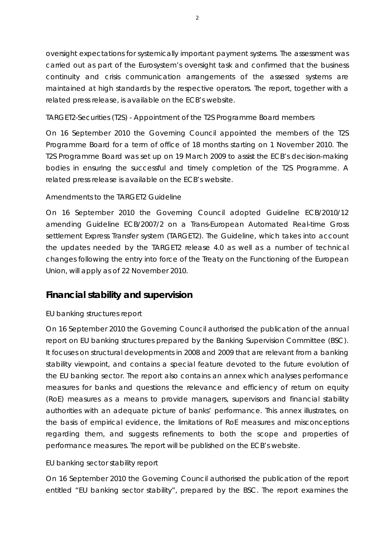oversight expectations for systemically important payment systems. The assessment was carried out as part of the Eurosystem's oversight task and confirmed that the business continuity and crisis communication arrangements of the assessed systems are maintained at high standards by the respective operators. The report, together with a related press release, is available on the ECB's website.

#### *TARGET2-Securities (T2S) - Appointment of the T2S Programme Board members*

On 16 September 2010 the Governing Council appointed the members of the T2S Programme Board for a term of office of 18 months starting on 1 November 2010. The T2S Programme Board was set up on 19 March 2009 to assist the ECB's decision-making bodies in ensuring the successful and timely completion of the T2S Programme. A related press release is available on the ECB's website.

#### *Amendments to the TARGET2 Guideline*

On 16 September 2010 the Governing Council adopted Guideline ECB/2010/12 amending Guideline ECB/2007/2 on a Trans-European Automated Real-time Gross settlement Express Transfer system (TARGET2). The Guideline, which takes into account the updates needed by the TARGET2 release 4.0 as well as a number of technical changes following the entry into force of the Treaty on the Functioning of the European Union, will apply as of 22 November 2010.

## **Financial stability and supervision**

#### *EU banking structures report*

On 16 September 2010 the Governing Council authorised the publication of the annual report on EU banking structures prepared by the Banking Supervision Committee (BSC). It focuses on structural developments in 2008 and 2009 that are relevant from a banking stability viewpoint, and contains a special feature devoted to the future evolution of the EU banking sector. The report also contains an annex which analyses performance measures for banks and questions the relevance and efficiency of return on equity (RoE) measures as a means to provide managers, supervisors and financial stability authorities with an adequate picture of banks' performance. This annex illustrates, on the basis of empirical evidence, the limitations of RoE measures and misconceptions regarding them, and suggests refinements to both the scope and properties of performance measures. The report will be published on the ECB's website.

### *EU banking sector stability report*

On 16 September 2010 the Governing Council authorised the publication of the report entitled "EU banking sector stability", prepared by the BSC. The report examines the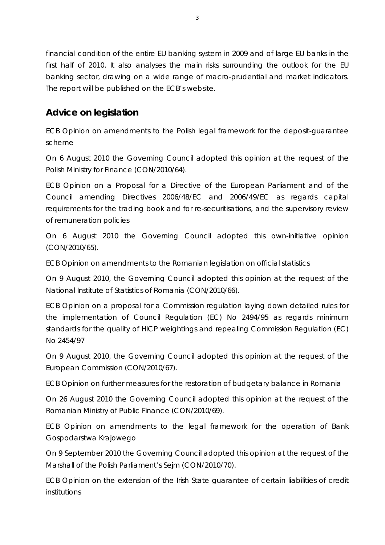financial condition of the entire EU banking system in 2009 and of large EU banks in the first half of 2010. It also analyses the main risks surrounding the outlook for the EU banking sector, drawing on a wide range of macro-prudential and market indicators. The report will be published on the ECB's website.

# **Advice on legislation**

*ECB Opinion on amendments to the Polish legal framework for the deposit-guarantee scheme* 

On 6 August 2010 the Governing Council adopted this opinion at the request of the Polish Ministry for Finance (CON/2010/64).

*ECB Opinion on a Proposal for a Directive of the European Parliament and of the Council amending Directives 2006/48/EC and 2006/49/EC as regards capital requirements for the trading book and for re-securitisations, and the supervisory review of remuneration policies* 

On 6 August 2010 the Governing Council adopted this own-initiative opinion (CON/2010/65).

*ECB Opinion on amendments to the Romanian legislation on official statistics* 

On 9 August 2010, the Governing Council adopted this opinion at the request of the National Institute of Statistics of Romania (CON/2010/66).

*ECB Opinion on a proposal for a Commission regulation laying down detailed rules for the implementation of Council Regulation (EC) No 2494/95 as regards minimum standards for the quality of HICP weightings and repealing Commission Regulation (EC) No 2454/97* 

On 9 August 2010, the Governing Council adopted this opinion at the request of the European Commission (CON/2010/67).

*ECB Opinion on further measures for the restoration of budgetary balance in Romania* 

On 26 August 2010 the Governing Council adopted this opinion at the request of the Romanian Ministry of Public Finance (CON/2010/69).

*ECB Opinion on amendments to the legal framework for the operation of Bank Gospodarstwa Krajowego* 

On 9 September 2010 the Governing Council adopted this opinion at the request of the Marshall of the Polish Parliament's Sejm (CON/2010/70).

*ECB Opinion on the extension of the Irish State guarantee of certain liabilities of credit institutions*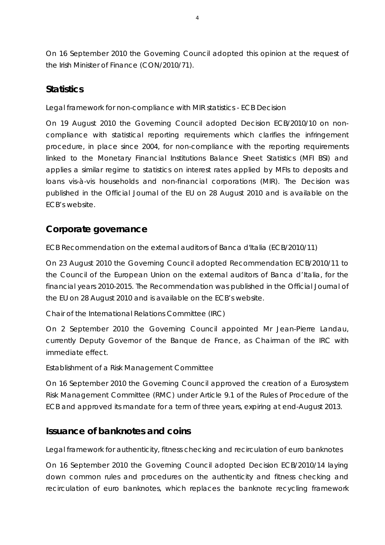On 16 September 2010 the Governing Council adopted this opinion at the request of the Irish Minister of Finance (CON/2010/71).

### **Statistics**

#### *Legal framework for non-compliance with MIR statistics - ECB Decision*

On 19 August 2010 the Governing Council adopted Decision ECB/2010/10 on noncompliance with statistical reporting requirements which clarifies the infringement procedure, in place since 2004, for non-compliance with the reporting requirements linked to the Monetary Financial Institutions Balance Sheet Statistics (MFI BSI) and applies a similar regime to statistics on interest rates applied by MFIs to deposits and loans vis-à-vis households and non-financial corporations (MIR). The Decision was published in the *Official Journal of the EU* on 28 August 2010 and is available on the ECB's website.

## **Corporate governance**

### *ECB Recommendation on the external auditors of Banca d'Italia (ECB/2010/11)*

On 23 August 2010 the Governing Council adopted Recommendation ECB/2010/11 to the Council of the European Union on the external auditors of Banca d'Italia, for the financial years 2010-2015. The Recommendation was published in the *Official Journal of the EU* on 28 August 2010 and is available on the ECB's website.

### *Chair of the International Relations Committee (IRC)*

On 2 September 2010 the Governing Council appointed Mr Jean-Pierre Landau, currently Deputy Governor of the Banque de France, as Chairman of the IRC with immediate effect.

#### *Establishment of a Risk Management Committee*

On 16 September 2010 the Governing Council approved the creation of a Eurosystem Risk Management Committee (RMC) under Article 9.1 of the Rules of Procedure of the ECB and approved its mandate for a term of three years, expiring at end-August 2013.

### **Issuance of banknotes and coins**

#### *Legal framework for authenticity, fitness checking and recirculation of euro banknotes*

On 16 September 2010 the Governing Council adopted Decision ECB/2010/14 laying down common rules and procedures on the authenticity and fitness checking and recirculation of euro banknotes, which replaces the banknote recycling framework